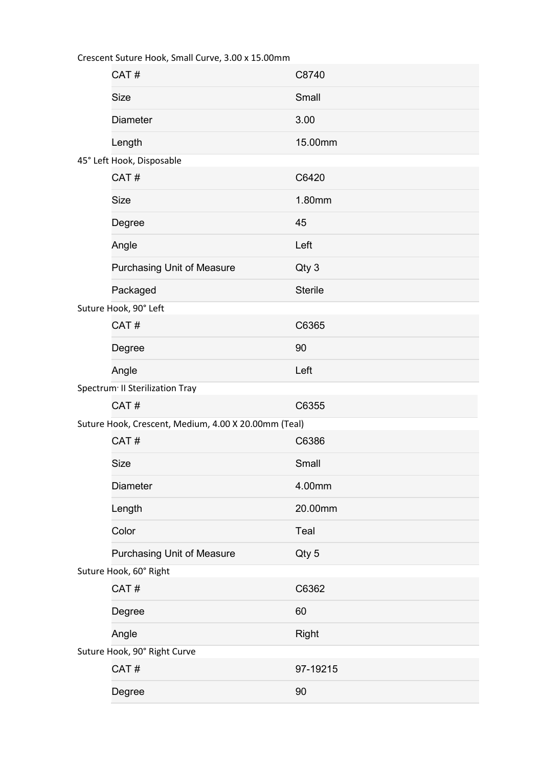| Crescent Suture Hook, Sinan Curve, Stoo A 13.00111111 |                                                      |                |  |
|-------------------------------------------------------|------------------------------------------------------|----------------|--|
|                                                       | CAT#                                                 | C8740          |  |
|                                                       | <b>Size</b>                                          | Small          |  |
|                                                       | <b>Diameter</b>                                      | 3.00           |  |
|                                                       | Length                                               | 15.00mm        |  |
|                                                       | 45° Left Hook, Disposable                            |                |  |
|                                                       | CAT#                                                 | C6420          |  |
|                                                       | <b>Size</b>                                          | 1.80mm         |  |
|                                                       | Degree                                               | 45             |  |
|                                                       | Angle                                                | Left           |  |
|                                                       | <b>Purchasing Unit of Measure</b>                    | Qty 3          |  |
|                                                       | Packaged                                             | <b>Sterile</b> |  |
|                                                       | Suture Hook, 90° Left                                |                |  |
|                                                       | CAT#                                                 | C6365          |  |
|                                                       | Degree                                               | 90             |  |
|                                                       | Angle                                                | Left           |  |
|                                                       | Spectrum <sup>®</sup> II Sterilization Tray          |                |  |
|                                                       | CAT#                                                 | C6355          |  |
|                                                       | Suture Hook, Crescent, Medium, 4.00 X 20.00mm (Teal) |                |  |
|                                                       | CAT#                                                 | C6386          |  |
|                                                       | <b>Size</b>                                          | Small          |  |
|                                                       | <b>Diameter</b>                                      | 4.00mm         |  |
|                                                       | Length                                               | 20.00mm        |  |
|                                                       | Color                                                | Teal           |  |
|                                                       | Purchasing Unit of Measure                           | Qty 5          |  |
| Suture Hook, 60° Right                                |                                                      |                |  |
|                                                       | CAT#                                                 | C6362          |  |
|                                                       | Degree                                               | 60             |  |
|                                                       | Angle                                                | Right          |  |
| Suture Hook, 90° Right Curve                          |                                                      |                |  |
|                                                       | CAT#                                                 | 97-19215       |  |
|                                                       | Degree                                               | 90             |  |

Crescent Suture Hook, Small Curve, 3.00 x 15.00mm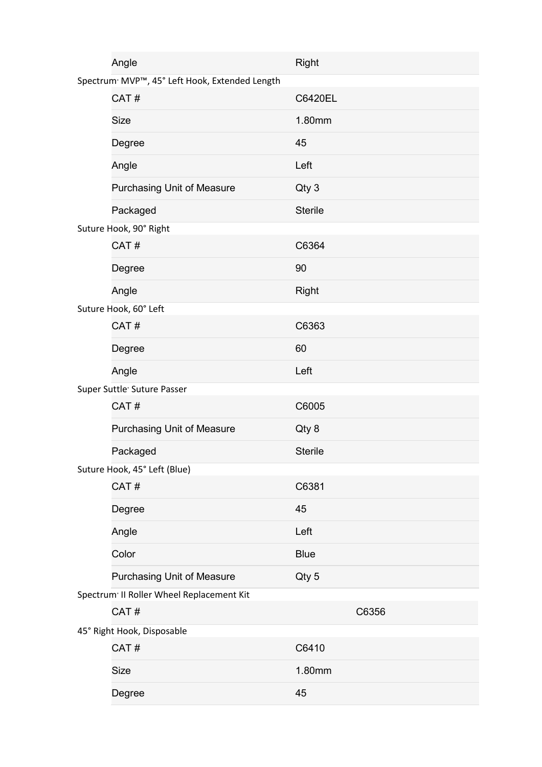|                                          | Angle                                                      | Right          |
|------------------------------------------|------------------------------------------------------------|----------------|
|                                          | Spectrum <sup>®</sup> MVP™, 45° Left Hook, Extended Length |                |
|                                          | CAT#                                                       | C6420EL        |
|                                          | <b>Size</b>                                                | 1.80mm         |
|                                          | Degree                                                     | 45             |
|                                          | Angle                                                      | Left           |
|                                          | <b>Purchasing Unit of Measure</b>                          | Qty 3          |
|                                          | Packaged                                                   | <b>Sterile</b> |
|                                          | Suture Hook, 90° Right                                     |                |
|                                          | CAT#                                                       | C6364          |
|                                          | Degree                                                     | 90             |
|                                          | Angle                                                      | Right          |
|                                          | Suture Hook, 60° Left                                      |                |
|                                          | CAT#                                                       | C6363          |
|                                          | Degree                                                     | 60             |
|                                          | Angle                                                      | Left           |
|                                          | Super Suttle <sup>®</sup> Suture Passer                    |                |
|                                          | CAT#                                                       | C6005          |
|                                          | Purchasing Unit of Measure                                 | Qty 8          |
|                                          | Packaged                                                   | <b>Sterile</b> |
|                                          | Suture Hook, 45° Left (Blue)                               |                |
|                                          | CAT#                                                       | C6381          |
|                                          | Degree                                                     | 45             |
|                                          | Angle                                                      | Left           |
|                                          | Color                                                      | <b>Blue</b>    |
|                                          | <b>Purchasing Unit of Measure</b>                          | Qty 5          |
| Spectrum II Roller Wheel Replacement Kit |                                                            |                |
|                                          | CAT#                                                       | C6356          |
| 45° Right Hook, Disposable               |                                                            |                |
|                                          | CAT#                                                       | C6410          |
|                                          | <b>Size</b>                                                | 1.80mm         |
|                                          | Degree                                                     | 45             |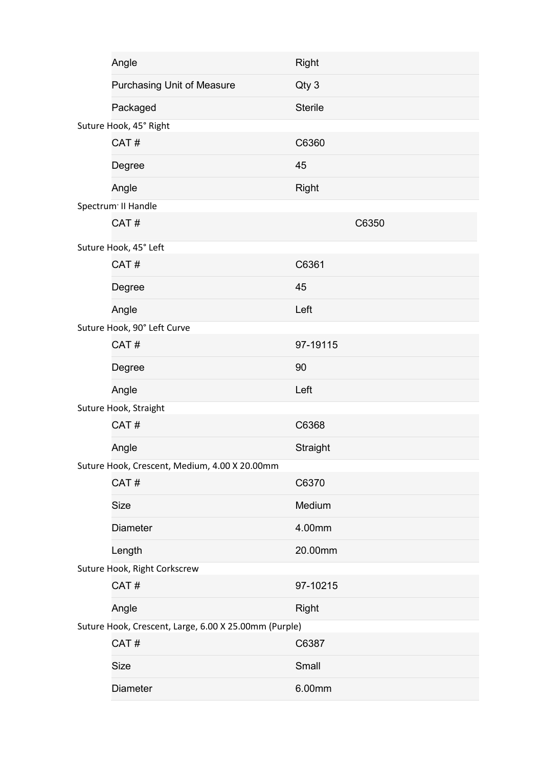|                                                       | Angle                                         | <b>Right</b>   |       |
|-------------------------------------------------------|-----------------------------------------------|----------------|-------|
|                                                       | Purchasing Unit of Measure                    | Qty 3          |       |
|                                                       | Packaged                                      | <b>Sterile</b> |       |
|                                                       | Suture Hook, 45° Right                        |                |       |
|                                                       | CAT#                                          | C6360          |       |
|                                                       | Degree                                        | 45             |       |
|                                                       | Angle                                         | Right          |       |
|                                                       | Spectrum <sup>®</sup> II Handle               |                |       |
|                                                       | CAT#                                          |                | C6350 |
|                                                       | Suture Hook, 45° Left                         |                |       |
|                                                       | CAT#                                          | C6361          |       |
|                                                       | Degree                                        | 45             |       |
|                                                       | Angle                                         | Left           |       |
|                                                       | Suture Hook, 90° Left Curve                   |                |       |
|                                                       | CAT#                                          | 97-19115       |       |
|                                                       | Degree                                        | 90             |       |
|                                                       | Angle                                         | Left           |       |
|                                                       | Suture Hook, Straight                         |                |       |
|                                                       | CAT#                                          | C6368          |       |
|                                                       | Angle                                         | Straight       |       |
|                                                       | Suture Hook, Crescent, Medium, 4.00 X 20.00mm |                |       |
|                                                       | CAT#                                          | C6370          |       |
|                                                       | <b>Size</b>                                   | Medium         |       |
|                                                       | <b>Diameter</b>                               | 4.00mm         |       |
|                                                       | Length                                        | 20.00mm        |       |
| Suture Hook, Right Corkscrew                          |                                               |                |       |
|                                                       | CAT#                                          | 97-10215       |       |
|                                                       | Angle                                         | <b>Right</b>   |       |
| Suture Hook, Crescent, Large, 6.00 X 25.00mm (Purple) |                                               |                |       |
|                                                       | CAT#                                          | C6387          |       |
|                                                       | <b>Size</b>                                   | Small          |       |
|                                                       | Diameter                                      | 6.00mm         |       |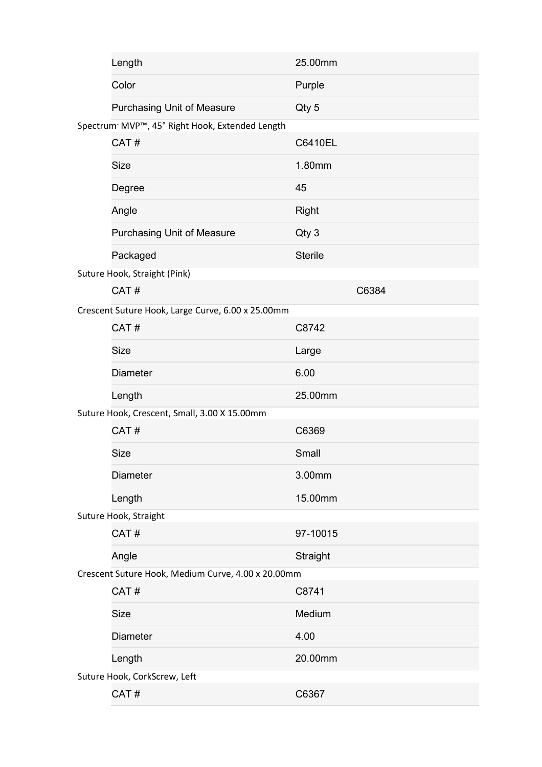|                                                    | Length                                                      | 25.00mm        |
|----------------------------------------------------|-------------------------------------------------------------|----------------|
|                                                    | Color                                                       | Purple         |
|                                                    | Purchasing Unit of Measure                                  | Qty 5          |
|                                                    | Spectrum <sup>®</sup> MVP™, 45° Right Hook, Extended Length |                |
|                                                    | CAT#                                                        | C6410EL        |
|                                                    | <b>Size</b>                                                 | 1.80mm         |
|                                                    | Degree                                                      | 45             |
|                                                    | Angle                                                       | <b>Right</b>   |
|                                                    | <b>Purchasing Unit of Measure</b>                           | Qty 3          |
|                                                    | Packaged                                                    | <b>Sterile</b> |
|                                                    | Suture Hook, Straight (Pink)                                |                |
|                                                    | CAT#                                                        | C6384          |
|                                                    | Crescent Suture Hook, Large Curve, 6.00 x 25.00mm           |                |
|                                                    | CAT#                                                        | C8742          |
|                                                    | <b>Size</b>                                                 | Large          |
|                                                    | <b>Diameter</b>                                             | 6.00           |
|                                                    | Length                                                      | 25.00mm        |
|                                                    | Suture Hook, Crescent, Small, 3.00 X 15.00mm                |                |
|                                                    | CAT#                                                        | C6369          |
|                                                    | <b>Size</b>                                                 | Small          |
|                                                    | <b>Diameter</b>                                             | 3.00mm         |
|                                                    | Length                                                      | 15.00mm        |
|                                                    | Suture Hook, Straight                                       |                |
|                                                    | CAT#                                                        | 97-10015       |
|                                                    | Angle                                                       | Straight       |
| Crescent Suture Hook, Medium Curve, 4.00 x 20.00mm |                                                             |                |
|                                                    | CAT#                                                        | C8741          |
|                                                    | <b>Size</b>                                                 | Medium         |
|                                                    | <b>Diameter</b>                                             | 4.00           |
|                                                    | Length                                                      | 20.00mm        |
| Suture Hook, CorkScrew, Left                       |                                                             |                |
|                                                    | CAT#                                                        | C6367          |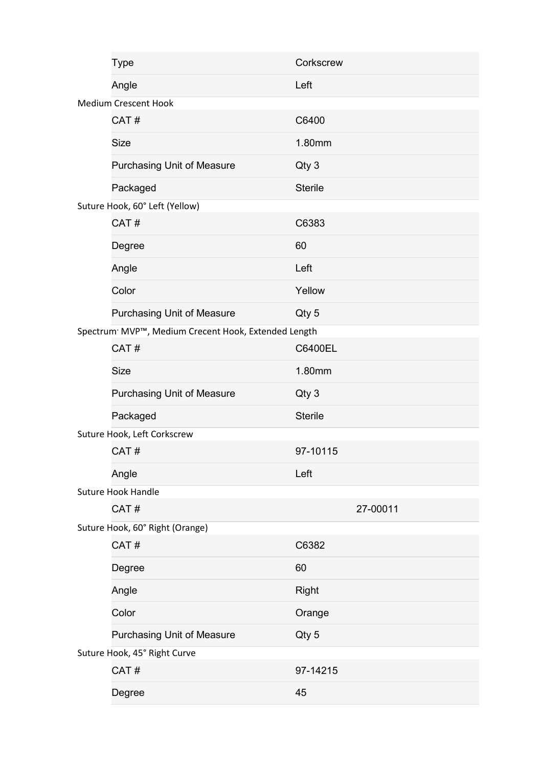|                                 | <b>Type</b>                                                      | Corkscrew      |
|---------------------------------|------------------------------------------------------------------|----------------|
|                                 | Angle                                                            | Left           |
|                                 | <b>Medium Crescent Hook</b>                                      |                |
|                                 | CAT#                                                             | C6400          |
|                                 | <b>Size</b>                                                      | 1.80mm         |
|                                 | Purchasing Unit of Measure                                       | Qty 3          |
|                                 | Packaged                                                         | <b>Sterile</b> |
|                                 | Suture Hook, 60° Left (Yellow)                                   |                |
|                                 | CAT#                                                             | C6383          |
|                                 | Degree                                                           | 60             |
|                                 | Angle                                                            | Left           |
|                                 | Color                                                            | Yellow         |
|                                 | <b>Purchasing Unit of Measure</b>                                | Qty 5          |
|                                 | Spectrum <sup>®</sup> MVP™, Medium Crecent Hook, Extended Length |                |
|                                 | CAT#                                                             | C6400EL        |
|                                 | <b>Size</b>                                                      | 1.80mm         |
|                                 | Purchasing Unit of Measure                                       | Qty 3          |
|                                 | Packaged                                                         | <b>Sterile</b> |
|                                 | Suture Hook, Left Corkscrew                                      |                |
|                                 | CAT#                                                             | 97-10115       |
|                                 | Angle                                                            | Left           |
|                                 | <b>Suture Hook Handle</b>                                        |                |
|                                 | CAT#                                                             | 27-00011       |
| Suture Hook, 60° Right (Orange) |                                                                  |                |
|                                 | CAT#                                                             | C6382          |
|                                 | Degree                                                           | 60             |
|                                 | Angle                                                            | <b>Right</b>   |
|                                 | Color                                                            | Orange         |
|                                 | <b>Purchasing Unit of Measure</b>                                | Qty 5          |
| Suture Hook, 45° Right Curve    |                                                                  |                |
|                                 | CAT#                                                             | 97-14215       |
|                                 | Degree                                                           | 45             |